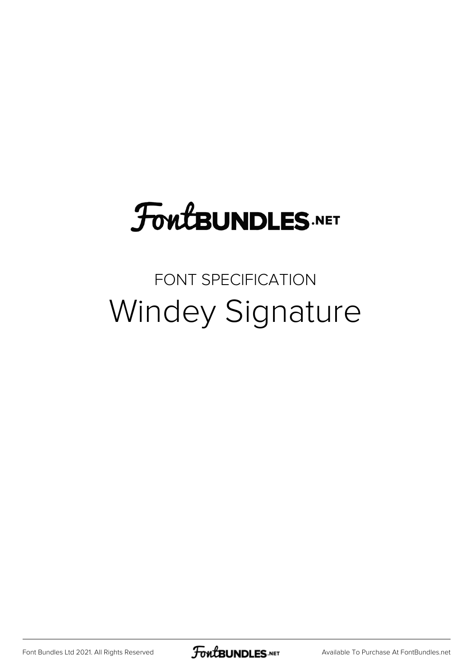## **FoutBUNDLES.NET**

## FONT SPECIFICATION Windey Signature

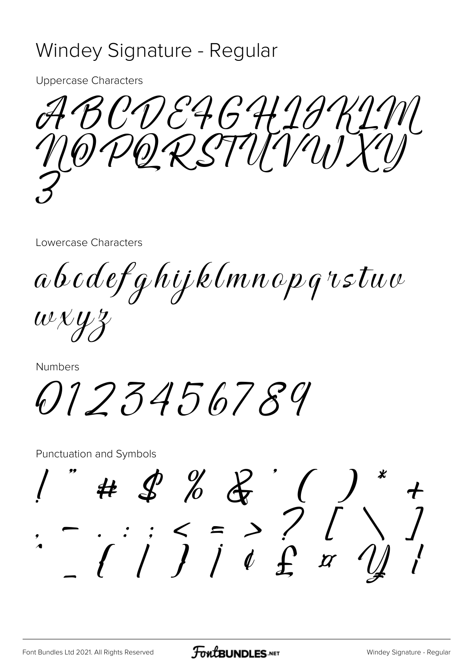## Windey Signature - Regular

**Uppercase Characters** 

ABCDE4GH19KIM

Lowercase Characters

abcdefghijklmnopgrstuv

 $w \chi y z$ 

Numbers

0123456789

**Punctuation and Symbols**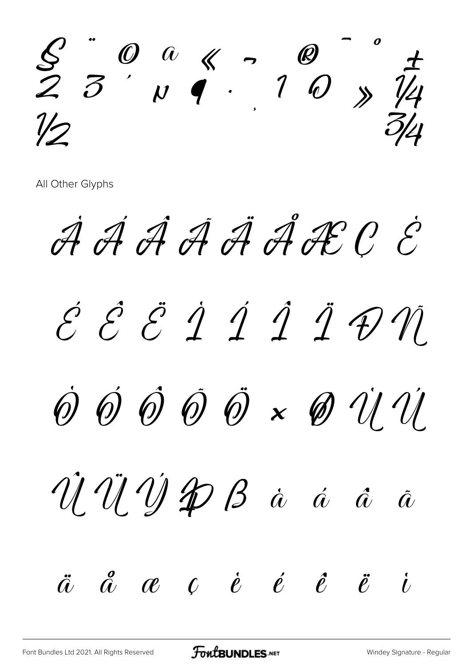

All Other Glyphs

À Á Á Á Á Ä Á Æ C É É E E I I I I D N  $\dot{\Theta}$   $\dot{\Theta}$   $\dot{\Theta}$   $\ddot{\Theta}$   $\times$   $\dot{\Theta}$   $\dot{\mathcal{U}}$   $\dot{\mathcal{U}}$ Û Û Ý P B à á â ã  $\ddot{a}$   $\ddot{a}$   $\alpha$   $c$   $\dot{e}$   $\dot{e}$   $\ddot{e}$   $\ddot{e}$  $\dot{U}$ 

FontBUNDLES.NET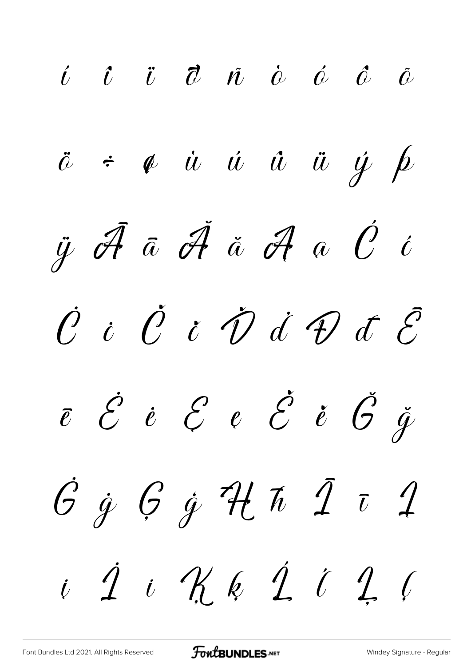$\begin{array}{ccccccccc}\n\vec{U} & \vec{U} & \vec{U} & \vec{U} & \vec{U} & \vec{U} & \vec{U} & \vec{U} & \vec{U} & \vec{U}\n\end{array}$  $\ddot{a}$   $\div$   $\phi$   $\dot{u}$   $\dot{u}$   $\ddot{u}$   $\ddot{u}$   $\dot{\psi}$   $\dot{\beta}$  $\ddot{y}$   $\dot{\mathscr{A}}$   $\ddot{\mathscr{A}}$   $\ddot{\mathscr{A}}$   $\ddot{\mathscr{A}}$   $\ddot{\mathscr{O}}$   $\dot{\mathscr{O}}$  $\dot{\mathcal{C}}$  i  $\dot{\mathcal{C}}$  i  $\dot{\mathcal{D}}$  i  $\mathcal{D}$  i  $\mathcal{C}$  $\overline{e}$   $\overline{\mathcal{E}}$   $\overline{e}$   $\overline{\mathcal{E}}$   $\overline{e}$   $\overline{\mathcal{E}}$   $\overline{\mathcal{E}}$   $\overline{\mathcal{E}}$   $\overline{\mathcal{G}}$   $\overline{\mathcal{G}}$  $6967$  H  $717$  $i\,$  1 i Kk 1 i 1 i

**FOWLBUNDLES.NET**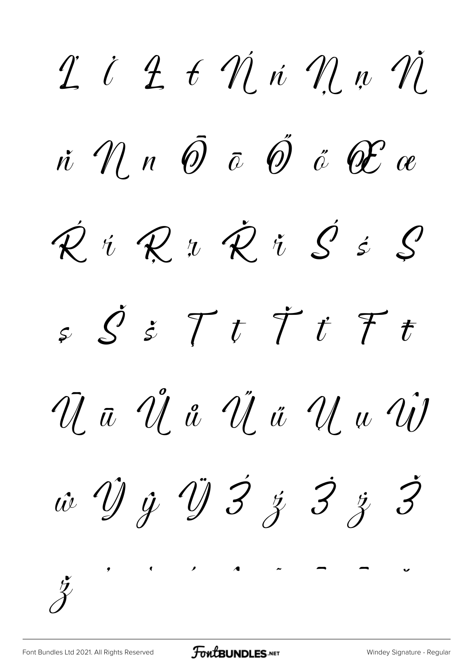$\ddot{\mathcal{I}}$  i  $\ddot{\mathcal{I}}$  t  $\dot{\mathcal{U}}$  i  $\dot{\mathcal{U}}$  n  $\dot{\mathcal{U}}$  $\dot{n}$   $\dot{\mathcal{U}}$   $n$   $\overline{\hat{\theta}}$   $\overline{\hat{\omega}}$   $\overline{\hat{\theta}}$   $\overline{\hat{\omega}}$   $\overline{\hat{\theta}}$   $\overline{\hat{\alpha}}$  $\hat{\mathcal{R}}$  i  $\mathcal{R}$  i  $\hat{\mathcal{R}}$  i  $\hat{\mathcal{S}}$  i  $\hat{\mathcal{S}}$  $s\,\,\mathcal{S}\,\,\dot{s}\,\,\,\mathcal{T}\,\,t\,\,\,\ddot{\mathcal{T}}\,\,\dot{t}\,\,\,\mathcal{F}\,\,t$ Ua Ua Uä Uu U w Ŷ y Ÿ 3 z 3 z 3  $\check{\mathcal{Z}}$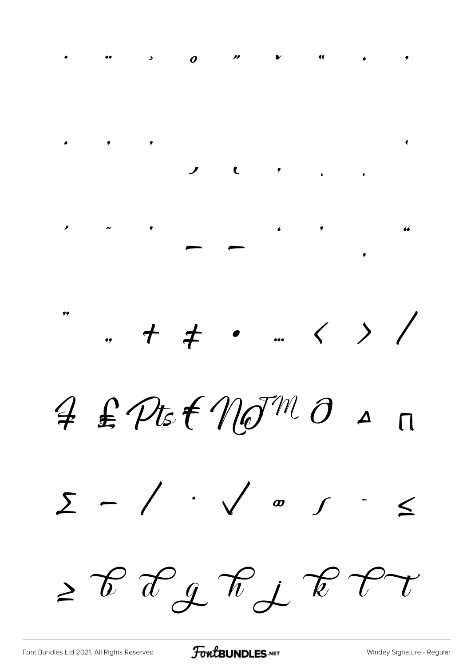

[Font Bundles Ltd 2021. All Rights Reserved](https://fontbundles.net/) **FoutBUNDLES.NET** [Windey Signature - Regular](https://fontbundles.net/)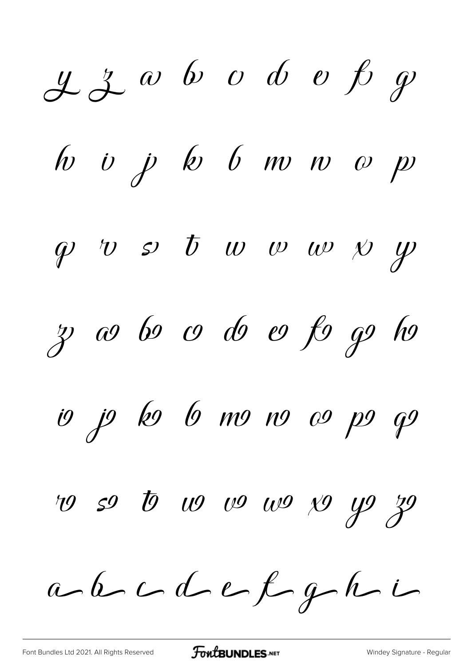$22$  a b c d e  $f$  g  $\begin{array}{ccccccc}\n\text{for } & \text{if } & \text{if } & \text{if } & \text{if } & \text{if } & \text{if } & \text{if } & \text{if } & \text{if } & \text{if } & \text{if } & \text{if } & \text{if } & \text{if } & \text{if } & \text{if } & \text{if } & \text{if } & \text{if } & \text{if } & \text{if } & \text{if } & \text{if } & \text{if } & \text{if } & \text{if } & \text{if } & \text{if } & \text{if } & \text{if } & \text{if } & \text{if } & \text{if } & \text{if } & \$  $\varphi$  v s  $\varphi$  w w w  $\psi$ z co bo co do eo fo go ho io jo ko 6 mo no co po qo ro so to wo wo wo yo yo yo  $a-b-c-def-ef-$ 

[Font Bundles Ltd 2021. All Rights Reserved](https://fontbundles.net/) **FoutBUNDLES.NET** [Windey Signature - Regular](https://fontbundles.net/)